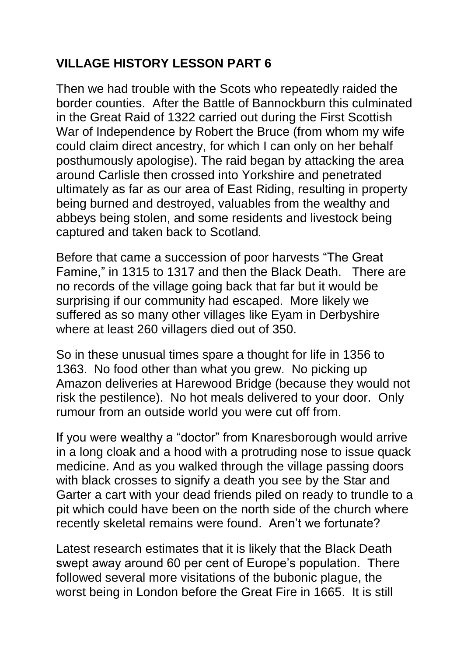## **VILLAGE HISTORY LESSON PART 6**

Then we had trouble with the Scots who repeatedly raided the border counties. After the Battle of Bannockburn this culminated in the Great Raid of 1322 carried out during the [First Scottish](https://en.wikipedia.org/wiki/First_War_of_Scottish_Independence)  [War of Independence](https://en.wikipedia.org/wiki/First_War_of_Scottish_Independence) by [Robert the Bruce](https://en.wikipedia.org/wiki/Robert_the_Bruce) (from whom my wife could claim direct ancestry, for which I can only on her behalf posthumously apologise). The raid began by attacking the area around [Carlisle](https://en.wikipedia.org/wiki/Carlisle,_Cumbria) then crossed into Yorkshire and penetrated ultimately as far as our area of [East Riding,](https://en.wikipedia.org/wiki/East_Riding_of_Yorkshire) resulting in property being burned and destroyed, valuables from the wealthy and abbeys being stolen, and some residents and livestock being captured and taken back to [Scotland](https://en.wikipedia.org/wiki/Scotland).

Before that came a succession of poor harvests "The Great Famine," in 1315 to 1317 and then the Black Death. There are no records of the village going back that far but it would be surprising if our community had escaped. More likely we suffered as so many other villages like Eyam in Derbyshire where at least 260 villagers died out of 350.

So in these unusual times spare a thought for life in 1356 to 1363. No food other than what you grew. No picking up Amazon deliveries at Harewood Bridge (because they would not risk the pestilence). No hot meals delivered to your door. Only rumour from an outside world you were cut off from.

If you were wealthy a "doctor" from Knaresborough would arrive in a long cloak and a hood with a protruding nose to issue quack medicine. And as you walked through the village passing doors with black crosses to signify a death you see by the Star and Garter a cart with your dead friends piled on ready to trundle to a pit which could have been on the north side of the church where recently skeletal remains were found. Aren't we fortunate?

Latest research estimates that it is likely that the Black Death swept away around 60 per cent of Europe's population. There followed several more visitations of the bubonic plague, the worst being in London before the Great Fire in 1665. It is still